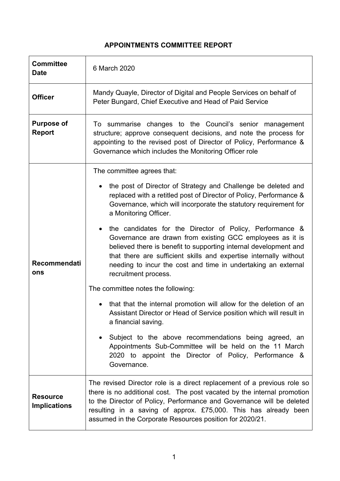# **APPOINTMENTS COMMITTEE REPORT**

| <b>Committee</b><br><b>Date</b>        | 6 March 2020                                                                                                                                                                                                                                                                                                                                                 |
|----------------------------------------|--------------------------------------------------------------------------------------------------------------------------------------------------------------------------------------------------------------------------------------------------------------------------------------------------------------------------------------------------------------|
| <b>Officer</b>                         | Mandy Quayle, Director of Digital and People Services on behalf of<br>Peter Bungard, Chief Executive and Head of Paid Service                                                                                                                                                                                                                                |
| <b>Purpose of</b><br>Report            | To summarise changes to the Council's senior management<br>structure; approve consequent decisions, and note the process for<br>appointing to the revised post of Director of Policy, Performance &<br>Governance which includes the Monitoring Officer role                                                                                                 |
| Recommendati<br>ons                    | The committee agrees that:                                                                                                                                                                                                                                                                                                                                   |
|                                        | the post of Director of Strategy and Challenge be deleted and<br>replaced with a retitled post of Director of Policy, Performance &<br>Governance, which will incorporate the statutory requirement for<br>a Monitoring Officer.                                                                                                                             |
|                                        | the candidates for the Director of Policy, Performance &<br>٠<br>Governance are drawn from existing GCC employees as it is<br>believed there is benefit to supporting internal development and<br>that there are sufficient skills and expertise internally without<br>needing to incur the cost and time in undertaking an external<br>recruitment process. |
|                                        | The committee notes the following:                                                                                                                                                                                                                                                                                                                           |
|                                        | that that the internal promotion will allow for the deletion of an<br>Assistant Director or Head of Service position which will result in<br>a financial saving.                                                                                                                                                                                             |
|                                        | Subject to the above recommendations being agreed, an<br>Appointments Sub-Committee will be held on the 11 March<br>2020 to appoint the Director of Policy, Performance &<br>Governance.                                                                                                                                                                     |
| <b>Resource</b><br><b>Implications</b> | The revised Director role is a direct replacement of a previous role so<br>there is no additional cost. The post vacated by the internal promotion<br>to the Director of Policy, Performance and Governance will be deleted<br>resulting in a saving of approx. £75,000. This has already been<br>assumed in the Corporate Resources position for 2020/21.   |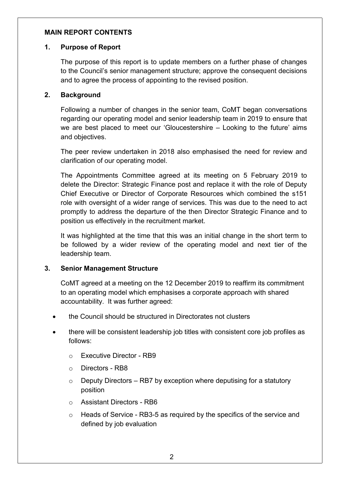#### **MAIN REPORT CONTENTS**

### **1. Purpose of Report**

The purpose of this report is to update members on a further phase of changes to the Council's senior management structure; approve the consequent decisions and to agree the process of appointing to the revised position.

### **2. Background**

Following a number of changes in the senior team, CoMT began conversations regarding our operating model and senior leadership team in 2019 to ensure that we are best placed to meet our 'Gloucestershire – Looking to the future' aims and objectives.

The peer review undertaken in 2018 also emphasised the need for review and clarification of our operating model.

The Appointments Committee agreed at its meeting on 5 February 2019 to delete the Director: Strategic Finance post and replace it with the role of Deputy Chief Executive or Director of Corporate Resources which combined the s151 role with oversight of a wider range of services. This was due to the need to act promptly to address the departure of the then Director Strategic Finance and to position us effectively in the recruitment market.

It was highlighted at the time that this was an initial change in the short term to be followed by a wider review of the operating model and next tier of the leadership team.

#### **3. Senior Management Structure**

CoMT agreed at a meeting on the 12 December 2019 to reaffirm its commitment to an operating model which emphasises a corporate approach with shared accountability. It was further agreed:

- the Council should be structured in Directorates not clusters
- there will be consistent leadership job titles with consistent core job profiles as follows:
	- o Executive Director RB9
	- o Directors RB8
	- $\circ$  Deputy Directors RB7 by exception where deputising for a statutory position
	- o Assistant Directors RB6
	- o Heads of Service RB3-5 as required by the specifics of the service and defined by job evaluation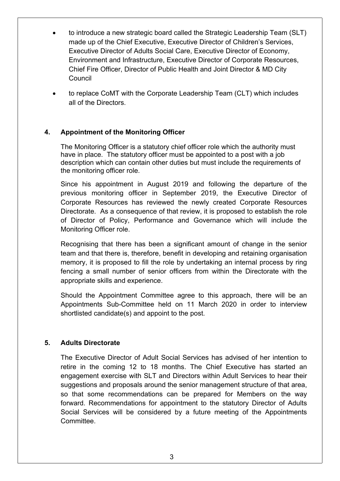- to introduce a new strategic board called the Strategic Leadership Team (SLT) made up of the Chief Executive, Executive Director of Children's Services, Executive Director of Adults Social Care, Executive Director of Economy, Environment and Infrastructure, Executive Director of Corporate Resources, Chief Fire Officer, Director of Public Health and Joint Director & MD City Council
- to replace CoMT with the Corporate Leadership Team (CLT) which includes all of the Directors.

## **4. Appointment of the Monitoring Officer**

The Monitoring Officer is a statutory chief officer role which the authority must have in place. The statutory officer must be appointed to a post with a job description which can contain other duties but must include the requirements of the monitoring officer role.

Since his appointment in August 2019 and following the departure of the previous monitoring officer in September 2019, the Executive Director of Corporate Resources has reviewed the newly created Corporate Resources Directorate. As a consequence of that review, it is proposed to establish the role of Director of Policy, Performance and Governance which will include the Monitoring Officer role.

Recognising that there has been a significant amount of change in the senior team and that there is, therefore, benefit in developing and retaining organisation memory, it is proposed to fill the role by undertaking an internal process by ring fencing a small number of senior officers from within the Directorate with the appropriate skills and experience.

Should the Appointment Committee agree to this approach, there will be an Appointments Sub-Committee held on 11 March 2020 in order to interview shortlisted candidate(s) and appoint to the post.

#### **5. Adults Directorate**

The Executive Director of Adult Social Services has advised of her intention to retire in the coming 12 to 18 months. The Chief Executive has started an engagement exercise with SLT and Directors within Adult Services to hear their suggestions and proposals around the senior management structure of that area, so that some recommendations can be prepared for Members on the way forward. Recommendations for appointment to the statutory Director of Adults Social Services will be considered by a future meeting of the Appointments Committee.